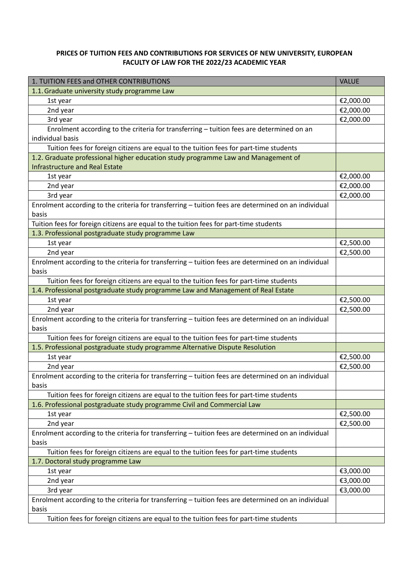## **PRICES OF TUITION FEES AND CONTRIBUTIONS FOR SERVICES OF NEW UNIVERSITY, EUROPEAN FACULTY OF LAW FOR THE 2022/23 ACADEMIC YEAR**

| 1. TUITION FEES and OTHER CONTRIBUTIONS                                                             | <b>VALUE</b> |
|-----------------------------------------------------------------------------------------------------|--------------|
| 1.1. Graduate university study programme Law                                                        |              |
| 1st year                                                                                            | €2,000.00    |
| 2nd year                                                                                            | €2,000.00    |
| 3rd year                                                                                            | €2,000.00    |
| Enrolment according to the criteria for transferring - tuition fees are determined on an            |              |
| individual basis                                                                                    |              |
| Tuition fees for foreign citizens are equal to the tuition fees for part-time students              |              |
| 1.2. Graduate professional higher education study programme Law and Management of                   |              |
| <b>Infrastructure and Real Estate</b>                                                               |              |
| 1st year                                                                                            | €2,000.00    |
| 2nd year                                                                                            | €2,000.00    |
| 3rd year                                                                                            | €2,000.00    |
| Enrolment according to the criteria for transferring - tuition fees are determined on an individual |              |
| basis                                                                                               |              |
| Tuition fees for foreign citizens are equal to the tuition fees for part-time students              |              |
| 1.3. Professional postgraduate study programme Law                                                  |              |
| 1st year                                                                                            | €2,500.00    |
| 2nd year                                                                                            | €2,500.00    |
| Enrolment according to the criteria for transferring - tuition fees are determined on an individual |              |
| basis                                                                                               |              |
| Tuition fees for foreign citizens are equal to the tuition fees for part-time students              |              |
| 1.4. Professional postgraduate study programme Law and Management of Real Estate                    |              |
| 1st year                                                                                            | €2,500.00    |
| 2nd year                                                                                            | €2,500.00    |
| Enrolment according to the criteria for transferring - tuition fees are determined on an individual |              |
| basis                                                                                               |              |
| Tuition fees for foreign citizens are equal to the tuition fees for part-time students              |              |
| 1.5. Professional postgraduate study programme Alternative Dispute Resolution                       |              |
| 1st year                                                                                            | €2,500.00    |
| 2nd year                                                                                            | €2,500.00    |
| Enrolment according to the criteria for transferring - tuition fees are determined on an individual |              |
| basis                                                                                               |              |
| Tuition fees for foreign citizens are equal to the tuition fees for part-time students              |              |
| 1.6. Professional postgraduate study programme Civil and Commercial Law                             |              |
| 1st year                                                                                            | €2,500.00    |
| 2nd year                                                                                            | €2,500.00    |
| Enrolment according to the criteria for transferring - tuition fees are determined on an individual |              |
| basis                                                                                               |              |
| Tuition fees for foreign citizens are equal to the tuition fees for part-time students              |              |
| 1.7. Doctoral study programme Law                                                                   |              |
| 1st year                                                                                            | €3,000.00    |
| 2nd year                                                                                            | €3,000.00    |
| 3rd year                                                                                            | €3,000.00    |
| Enrolment according to the criteria for transferring - tuition fees are determined on an individual |              |
| basis                                                                                               |              |
| Tuition fees for foreign citizens are equal to the tuition fees for part-time students              |              |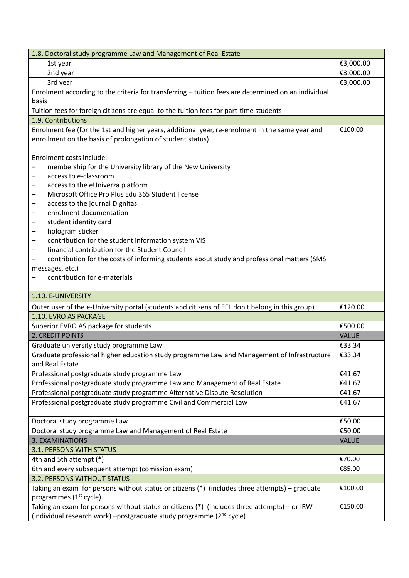| 1.8. Doctoral study programme Law and Management of Real Estate                                                                                                                                                                                                                                                                                                                                                                                                                                                                                                                                                  |              |
|------------------------------------------------------------------------------------------------------------------------------------------------------------------------------------------------------------------------------------------------------------------------------------------------------------------------------------------------------------------------------------------------------------------------------------------------------------------------------------------------------------------------------------------------------------------------------------------------------------------|--------------|
| 1st year                                                                                                                                                                                                                                                                                                                                                                                                                                                                                                                                                                                                         | €3,000.00    |
| 2nd year                                                                                                                                                                                                                                                                                                                                                                                                                                                                                                                                                                                                         | €3,000.00    |
| 3rd year                                                                                                                                                                                                                                                                                                                                                                                                                                                                                                                                                                                                         | €3,000.00    |
| Enrolment according to the criteria for transferring - tuition fees are determined on an individual                                                                                                                                                                                                                                                                                                                                                                                                                                                                                                              |              |
| basis                                                                                                                                                                                                                                                                                                                                                                                                                                                                                                                                                                                                            |              |
| Tuition fees for foreign citizens are equal to the tuition fees for part-time students                                                                                                                                                                                                                                                                                                                                                                                                                                                                                                                           |              |
| 1.9. Contributions                                                                                                                                                                                                                                                                                                                                                                                                                                                                                                                                                                                               |              |
| Enrolment fee (for the 1st and higher years, additional year, re-enrolment in the same year and<br>enrollment on the basis of prolongation of student status)                                                                                                                                                                                                                                                                                                                                                                                                                                                    | €100.00      |
| Enrolment costs include:<br>membership for the University library of the New University<br>access to e-classroom<br>access to the eUniverza platform<br>-<br>Microsoft Office Pro Plus Edu 365 Student license<br>—<br>access to the journal Dignitas<br>-<br>enrolment documentation<br>—<br>student identity card<br>-<br>hologram sticker<br>-<br>contribution for the student information system VIS<br>-<br>financial contribution for the Student Council<br>contribution for the costs of informing students about study and professional matters (SMS<br>messages, etc.)<br>contribution for e-materials |              |
| 1.10. E-UNIVERSITY                                                                                                                                                                                                                                                                                                                                                                                                                                                                                                                                                                                               |              |
| Outer user of the e-University portal (students and citizens of EFL don't belong in this group)                                                                                                                                                                                                                                                                                                                                                                                                                                                                                                                  | €120.00      |
| 1.10. EVRO AS PACKAGE                                                                                                                                                                                                                                                                                                                                                                                                                                                                                                                                                                                            |              |
| Superior EVRO AS package for students                                                                                                                                                                                                                                                                                                                                                                                                                                                                                                                                                                            | €500.00      |
| 2. CREDIT POINTS                                                                                                                                                                                                                                                                                                                                                                                                                                                                                                                                                                                                 | <b>VALUE</b> |
| Graduate university study programme Law                                                                                                                                                                                                                                                                                                                                                                                                                                                                                                                                                                          | €33.34       |
| Graduate professional higher education study programme Law and Management of Infrastructure<br>and Real Estate                                                                                                                                                                                                                                                                                                                                                                                                                                                                                                   | €33.34       |
| Professional postgraduate study programme Law                                                                                                                                                                                                                                                                                                                                                                                                                                                                                                                                                                    | €41.67       |
| Professional postgraduate study programme Law and Management of Real Estate                                                                                                                                                                                                                                                                                                                                                                                                                                                                                                                                      | €41.67       |
| Professional postgraduate study programme Alternative Dispute Resolution                                                                                                                                                                                                                                                                                                                                                                                                                                                                                                                                         | €41.67       |
| Professional postgraduate study programme Civil and Commercial Law                                                                                                                                                                                                                                                                                                                                                                                                                                                                                                                                               | €41.67       |
| Doctoral study programme Law                                                                                                                                                                                                                                                                                                                                                                                                                                                                                                                                                                                     | €50.00       |
| Doctoral study programme Law and Management of Real Estate                                                                                                                                                                                                                                                                                                                                                                                                                                                                                                                                                       | €50.00       |
| 3. EXAMINATIONS                                                                                                                                                                                                                                                                                                                                                                                                                                                                                                                                                                                                  | <b>VALUE</b> |
| 3.1. PERSONS WITH STATUS                                                                                                                                                                                                                                                                                                                                                                                                                                                                                                                                                                                         |              |
| 4th and 5th attempt (*)                                                                                                                                                                                                                                                                                                                                                                                                                                                                                                                                                                                          | €70.00       |
| 6th and every subsequent attempt (comission exam)                                                                                                                                                                                                                                                                                                                                                                                                                                                                                                                                                                | €85.00       |
| <b>3.2. PERSONS WITHOUT STATUS</b>                                                                                                                                                                                                                                                                                                                                                                                                                                                                                                                                                                               |              |
| Taking an exam for persons without status or citizens $(*)$ (includes three attempts) – graduate<br>programmes (1 <sup>st</sup> cycle)                                                                                                                                                                                                                                                                                                                                                                                                                                                                           | €100.00      |
| Taking an exam for persons without status or citizens (*) (includes three attempts) - or IRW<br>(individual research work) -postgraduate study programme (2 <sup>nd</sup> cycle)                                                                                                                                                                                                                                                                                                                                                                                                                                 | €150.00      |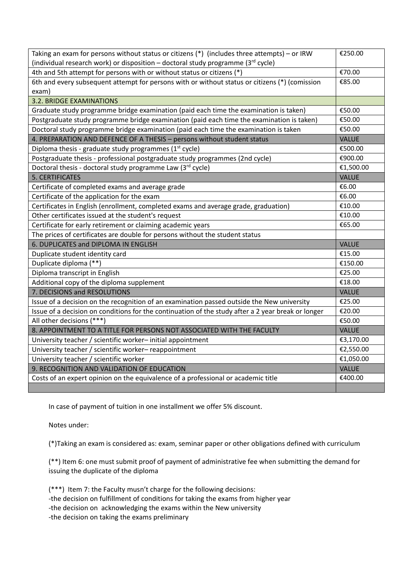| Taking an exam for persons without status or citizens (*) (includes three attempts) - or IRW       | €250.00      |
|----------------------------------------------------------------------------------------------------|--------------|
| (individual research work) or disposition – doctoral study programme ( $3^{rd}$ cycle)             |              |
| 4th and 5th attempt for persons with or without status or citizens (*)                             | €70.00       |
| 6th and every subsequent attempt for persons with or without status or citizens (*) (comission     | €85.00       |
| exam)                                                                                              |              |
| <b>3.2. BRIDGE EXAMINATIONS</b>                                                                    |              |
| Graduate study programme bridge examination (paid each time the examination is taken)              | €50.00       |
| Postgraduate study programme bridge examination (paid each time the examination is taken)          | €50.00       |
| Doctoral study programme bridge examination (paid each time the examination is taken               | €50.00       |
| 4. PREPARATION AND DEFENCE OF A THESIS - persons without student status                            | <b>VALUE</b> |
| Diploma thesis - graduate study programmes (1 <sup>st</sup> cycle)                                 | €500.00      |
| Postgraduate thesis - professional postgraduate study programmes (2nd cycle)                       | €900.00      |
| Doctoral thesis - doctoral study programme Law (3rd cycle)                                         | €1,500.00    |
| <b>5. CERTIFICATES</b>                                                                             | <b>VALUE</b> |
| Certificate of completed exams and average grade                                                   | €6.00        |
| Certificate of the application for the exam                                                        | €6.00        |
| Certificates in English (enrollment, completed exams and average grade, graduation)                | €10.00       |
| Other certificates issued at the student's request                                                 | €10.00       |
| Certificate for early retirement or claiming academic years                                        | €65.00       |
| The prices of certificates are double for persons without the student status                       |              |
| 6. DUPLICATES and DIPLOMA IN ENGLISH                                                               | <b>VALUE</b> |
| Duplicate student identity card                                                                    | €15.00       |
| Duplicate diploma (**)                                                                             | €150.00      |
| Diploma transcript in English                                                                      | €25.00       |
| Additional copy of the diploma supplement                                                          | €18.00       |
| 7. DECISIONS and RESOLUTIONS                                                                       | <b>VALUE</b> |
| Issue of a decision on the recognition of an examination passed outside the New university         | €25.00       |
| Issue of a decision on conditions for the continuation of the study after a 2 year break or longer | €20.00       |
| All other decisions (***)                                                                          | €50.00       |
| 8. APPOINTMENT TO A TITLE FOR PERSONS NOT ASSOCIATED WITH THE FACULTY                              | <b>VALUE</b> |
| University teacher / scientific worker-initial appointment                                         | €3,170.00    |
| University teacher / scientific worker-reappointment                                               | €2,550.00    |
| University teacher / scientific worker                                                             | €1,050.00    |
| 9. RECOGNITION AND VALIDATION OF EDUCATION                                                         | <b>VALUE</b> |
| Costs of an expert opinion on the equivalence of a professional or academic title                  | €400.00      |
|                                                                                                    |              |

In case of payment of tuition in one installment we offer 5% discount.

Notes under:

(\*)Taking an exam is considered as: exam, seminar paper or other obligations defined with curriculum

(\*\*) Item 6: one must submit proof of payment of administrative fee when submitting the demand for issuing the duplicate of the diploma

(\*\*\*) Item 7: the Faculty musn't charge for the following decisions: -the decision on fulfillment of conditions for taking the exams from higher year -the decision on acknowledging the exams within the New university -the decision on taking the exams preliminary